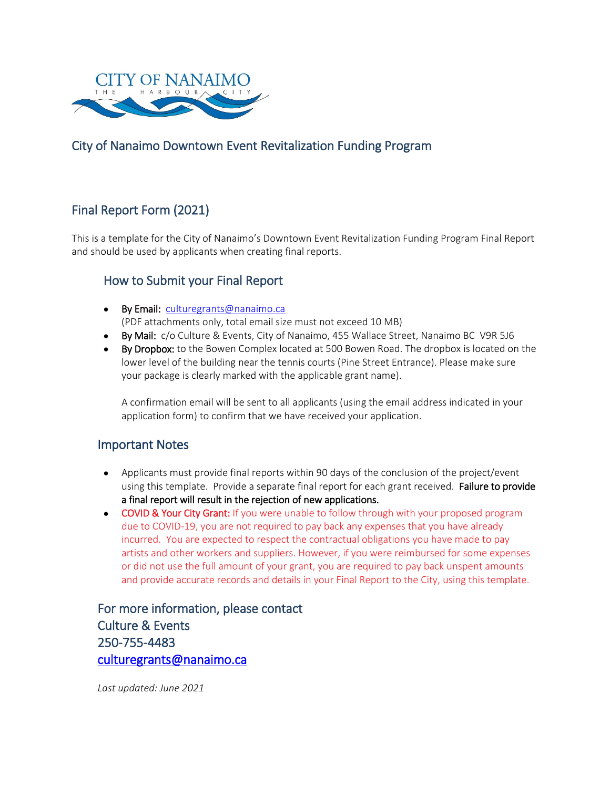

### City of Nanaimo Downtown Event Revitalization Funding Program

## Final Report Form (2021)

This is a template for the City of Nanaimo's Downtown Event Revitalization Funding Program Final Report and should be used by applicants when creating final reports.

#### How to Submit your Final Report

- By Email: [culturegrants@nanaimo.ca](mailto:culturegrants@nanaimo.ca) (PDF attachments only, total email size must not exceed 10 MB)
- By Mail: c/o Culture & Events, City of Nanaimo, 455 Wallace Street, Nanaimo BC V9R 5J6
- By Dropbox: to the Bowen Complex located at 500 Bowen Road. The dropbox is located on the lower level of the building near the tennis courts (Pine Street Entrance). Please make sure your package is clearly marked with the applicable grant name).

A confirmation email will be sent to all applicants (using the email address indicated in your application form) to confirm that we have received your application.

#### Important Notes

- Applicants must provide final reports within 90 days of the conclusion of the project/event using this template. Provide a separate final report for each grant received. Failure to provide a final report will result in the rejection of new applications.
- COVID & Your City Grant: If you were unable to follow through with your proposed program due to COVID-19, you are not required to pay back any expenses that you have already incurred. You are expected to respect the contractual obligations you have made to pay artists and other workers and suppliers. However, if you were reimbursed for some expenses or did not use the full amount of your grant, you are required to pay back unspent amounts and provide accurate records and details in your Final Report to the City, using this template.

For more information, please contact Culture & Events 250-755-4483 [culturegrants@nanaimo.ca](mailto:culturegrants@nanaimo.ca) 

*Last updated: June 2021*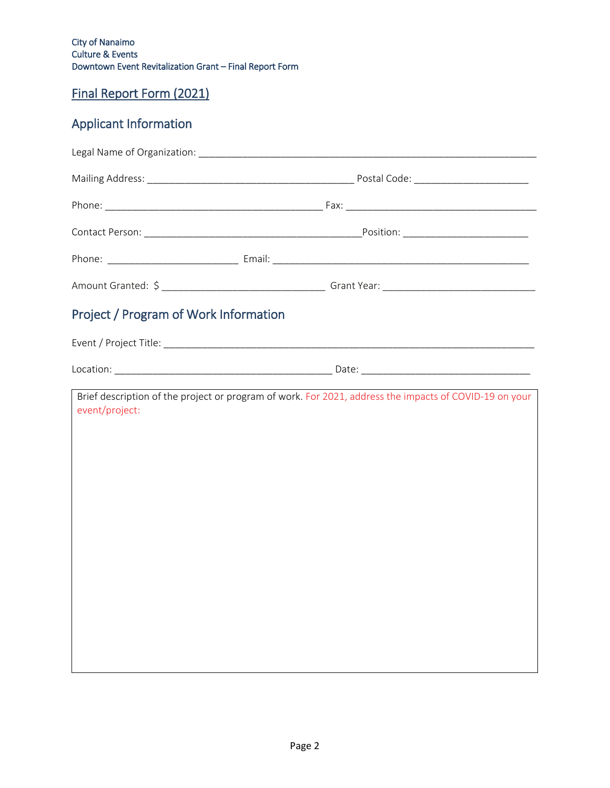City of Nanaimo Culture & Events Downtown Event Revitalization Grant – Final Report Form

# Final Report Form (2021)

# Applicant Information

| Project / Program of Work Information |                                                                                                        |
|---------------------------------------|--------------------------------------------------------------------------------------------------------|
|                                       |                                                                                                        |
|                                       |                                                                                                        |
| event/project:                        | Brief description of the project or program of work. For 2021, address the impacts of COVID-19 on your |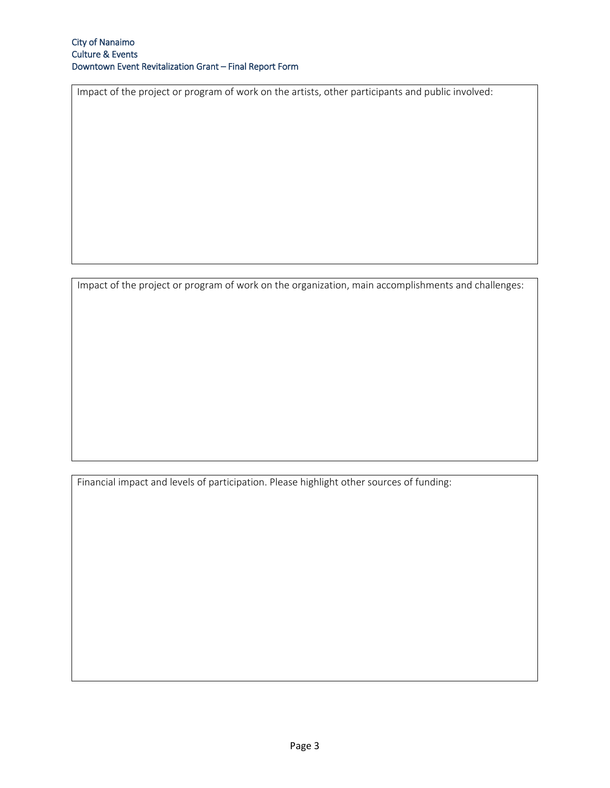Impact of the project or program of work on the artists, other participants and public involved:

Impact of the project or program of work on the organization, main accomplishments and challenges:

Financial impact and levels of participation. Please highlight other sources of funding: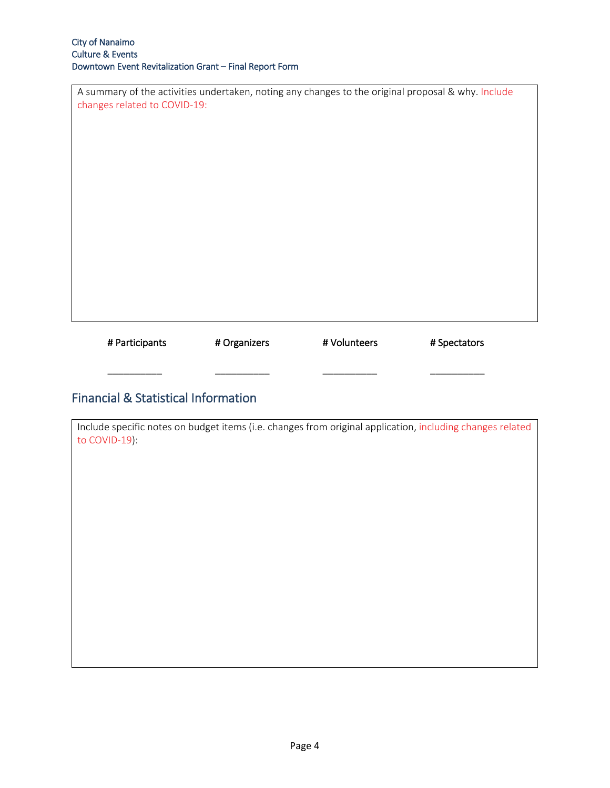| A summary of the activities undertaken, noting any changes to the original proposal & why. Include<br>changes related to COVID-19: |
|------------------------------------------------------------------------------------------------------------------------------------|
|                                                                                                                                    |
|                                                                                                                                    |
|                                                                                                                                    |
|                                                                                                                                    |

| # Participants | # Organizers | # Volunteers | # Spectators |
|----------------|--------------|--------------|--------------|
|                |              |              |              |
|                |              |              |              |

## Financial & Statistical Information

| Include specific notes on budget items (i.e. changes from original application, including changes related<br>to COVID-19): |
|----------------------------------------------------------------------------------------------------------------------------|
|                                                                                                                            |
|                                                                                                                            |
|                                                                                                                            |
|                                                                                                                            |
|                                                                                                                            |
|                                                                                                                            |
|                                                                                                                            |
|                                                                                                                            |
|                                                                                                                            |
|                                                                                                                            |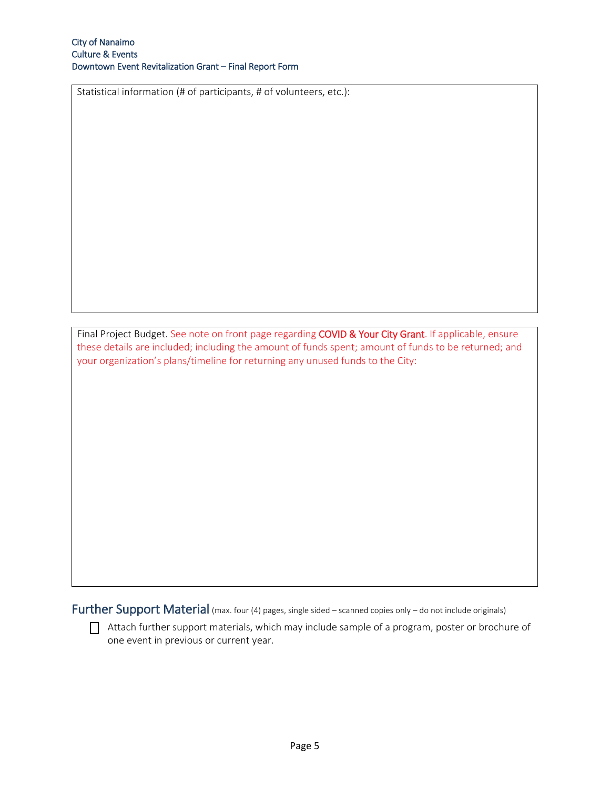Statistical information (# of participants, # of volunteers, etc.):

Final Project Budget. See note on front page regarding COVID & Your City Grant. If applicable, ensure these details are included; including the amount of funds spent; amount of funds to be returned; and your organization's plans/timeline for returning any unused funds to the City:

Further Support Material (max. four (4) pages, single sided – scanned copies only – do not include originals)

 $\Box$  Attach further support materials, which may include sample of a program, poster or brochure of one event in previous or current year.